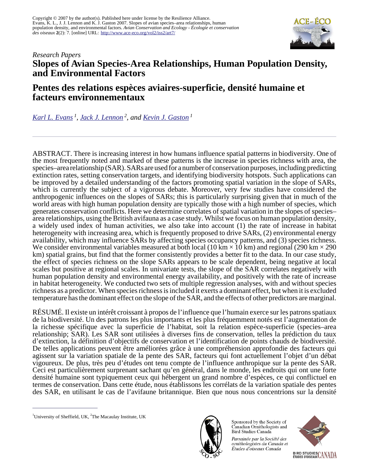

# *Research Papers* **Slopes of Avian Species-Area Relationships, Human Population Density, and Environmental Factors**

# **Pentes des relations espèces aviaires-superficie, densité humaine et facteurs environnementaux**

*[Karl L. Evans](mailto:karl.evans@sheffield.ac.uk)<sup>1</sup> , [Jack J. Lennon](mailto:J.Lennon@macaulay.ac.uk)<sup>2</sup>, and [Kevin J. Gaston](mailto:k.j.gaston@sheffield.ac.uk)<sup>1</sup>*

ABSTRACT. There is increasing interest in how humans influence spatial patterns in biodiversity. One of the most frequently noted and marked of these patterns is the increase in species richness with area, the species–area relationship (SAR). SARs are used for a number of conservation purposes, including predicting extinction rates, setting conservation targets, and identifying biodiversity hotspots. Such applications can be improved by a detailed understanding of the factors promoting spatial variation in the slope of SARs, which is currently the subject of a vigorous debate. Moreover, very few studies have considered the anthropogenic influences on the slopes of SARs; this is particularly surprising given that in much of the world areas with high human population density are typically those with a high number of species, which generates conservation conflicts. Here we determine correlates of spatial variation in the slopes of species– area relationships, using the British avifauna as a case study. Whilst we focus on human population density, a widely used index of human activities, we also take into account (1) the rate of increase in habitat heterogeneity with increasing area, which is frequently proposed to drive SARs, (2) environmental energy availability, which may influence SARs by affecting species occupancy patterns, and (3) species richness. We consider environmental variables measured at both local (10 km  $\times$  10 km) and regional (290 km  $\times$  290 km) spatial grains, but find that the former consistently provides a better fit to the data. In our case study, the effect of species richness on the slope SARs appears to be scale dependent, being negative at local scales but positive at regional scales. In univariate tests, the slope of the SAR correlates negatively with human population density and environmental energy availability, and positively with the rate of increase in habitat heterogeneity. We conducted two sets of multiple regression analyses, with and without species richness as a predictor. When species richness is included it exerts a dominant effect, but when it is excluded temperature has the dominant effect on the slope of the SAR, and the effects of other predictors are marginal.

RÉSUMÉ. Il existe un intérêt croissant à propos de l'influence que l'humain exerce sur les patrons spatiaux de la biodiversité. Un des patrons les plus importants et les plus fréquemment notés est l'augmentation de la richesse spécifique avec la superficie de l'habitat, soit la relation espèce-superficie (species–area relationship; SAR). Les SAR sont utilisées à diverses fins de conservation, telles la prédiction du taux d'extinction, la définition d'objectifs de conservation et l'identification de points chauds de biodiversité. De telles applications peuvent être améliorées grâce à une compréhension approfondie des facteurs qui agissent sur la variation spatiale de la pente des SAR, facteurs qui font actuellement l'objet d'un débat vigoureux. De plus, très peu d'études ont tenu compte de l'influence anthropique sur la pente des SAR. Ceci est particulièrement surprenant sachant qu'en général, dans le monde, les endroits qui ont une forte densité humaine sont typiquement ceux qui hébergent un grand nombre d'espèces, ce qui conflictuel en termes de conservation. Dans cette étude, nous établissons les corrélats de la variation spatiale des pentes des SAR, en utilisant le cas de l'avifaune britannique. Bien que nous nous concentrions sur la densité



Sponsored by the Society of Canadian Ornithologists and Bird Studies Canada

Parrainée par la Société des ornithologistes du Canada et Études d'oiseaux Canada



<sup>&</sup>lt;sup>1</sup>University of Sheffield, UK, <sup>2</sup>The Macaulay Institute, UK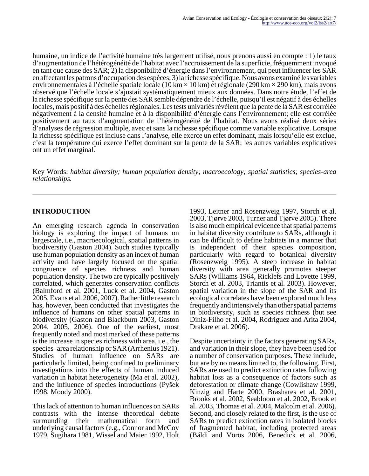humaine, un indice de l'activité humaine très largement utilisé, nous prenons aussi en compte : 1) le taux d'augmentation de l'hétérogénéité de l'habitat avec l'accroissement de la superficie, fréquemment invoqué en tant que cause des SAR; 2) la disponibilité d'énergie dans l'environnement, qui peut influencer les SAR en affectant les patrons d'occupation des espèces; 3) la richesse spécifique. Nous avons examiné les variables environnementales à l'échelle spatiale locale (10 km × 10 km) et régionale (290 km × 290 km), mais avons observé que l'échelle locale s'ajustait systématiquement mieux aux données. Dans notre étude, l'effet de la richesse spécifique sur la pente des SAR semble dépendre de l'échelle, puisqu'il est négatif à des échelles locales, mais positif à des échelles régionales. Les tests univariés révèlent que la pente de la SAR est corrélée négativement à la densité humaine et à la disponibilité d'énergie dans l'environnement; elle est corrélée positivement au taux d'augmentation de l'hétérogénéité de l'habitat. Nous avons réalisé deux séries d'analyses de régression multiple, avec et sans la richesse spécifique comme variable explicative. Lorsque la richesse spécifique est incluse dans l'analyse, elle exerce un effet dominant, mais lorsqu'elle est exclue, c'est la température qui exerce l'effet dominant sur la pente de la SAR; les autres variables explicatives ont un effet marginal.

Key Words: *habitat diversity; human population density; macroecology; spatial statistics; species-area relationships.*

#### **INTRODUCTION**

An emerging research agenda in conservation biology is exploring the impact of humans on largescale, i.e., macroecological, spatial patterns in biodiversity (Gaston 2004). Such studies typically use human population density as an index of human activity and have largely focused on the spatial congruence of species richness and human population density. The two are typically positively correlated, which generates conservation conflicts (Balmford et al. 2001, Luck et al. 2004, Gaston 2005, Evans et al. 2006, 2007). Rather little research has, however, been conducted that investigates the influence of humans on other spatial patterns in biodiversity (Gaston and Blackburn 2003, Gaston 2004, 2005, 2006). One of the earliest, most frequently noted and most marked of these patterns is the increase in species richness with area, i.e., the species–area relationship or SAR (Arrhenius 1921). Studies of human influence on SARs are particularly limited, being confined to preliminary investigations into the effects of human induced variation in habitat heterogeneity (Ma et al. 2002), and the influence of species introductions (Pyšek 1998, Moody 2000).

This lack of attention to human influences on SARs contrasts with the intense theoretical debate surrounding their mathematical form and underlying causal factors (e.g., Connor and McCoy 1979, Sugihara 1981, Wissel and Maier 1992, Holt

1993, Leitner and Rosenzweig 1997, Storch et al. 2003, Tjørve 2003, Turner and Tjørve 2005). There is also much empirical evidence that spatial patterns in habitat diversity contribute to SARs, although it can be difficult to define habitats in a manner that is independent of their species composition, particularly with regard to botanical diversity (Rosenzweig 1995). A steep increase in habitat diversity with area generally promotes steeper SARs (Williams 1964, Ricklefs and Lovette 1999, Storch et al. 2003, Triantis et al. 2003). However, spatial variation in the slope of the SAR and its ecological correlates have been explored much less frequently and intensively than other spatial patterns in biodiversity, such as species richness (but see Diniz-Filho et al. 2004, Rodríguez and Arita 2004, Drakare et al. 2006).

Despite uncertainty in the factors generating SARs, and variation in their slope, they have been used for a number of conservation purposes. These include, but are by no means limited to, the following. First, SARs are used to predict extinction rates following habitat loss as a consequence of factors such as deforestation or climate change (Cowlishaw 1999, Kinzig and Harte 2000, Brashares et al. 2001, Brooks et al. 2002, Seabloom et al. 2002, Brook et al. 2003, Thomas et al. 2004, Malcolm et al. 2006). Second, and closely related to the first, is the use of SARs to predict extinction rates in isolated blocks of fragmented habitat, including protected areas (Báldi and Vörös 2006, Benedick et al. 2006,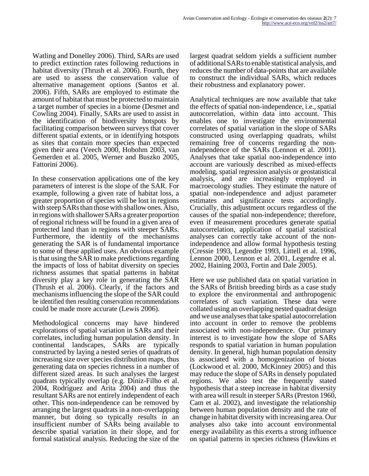Watling and Donelley 2006). Third, SARs are used to predict extinction rates following reductions in habitat diversity (Thrush et al. 2006). Fourth, they are used to assess the conservation value of alternative management options (Santos et al. 2006). Fifth, SARs are employed to estimate the amount of habitat that must be protected to maintain a target number of species in a biome (Desmet and Cowling 2004). Finally, SARs are used to assist in the identification of biodiversity hotspots by facilitating comparison between surveys that cover different spatial extents, or in identifying hotspots as sites that contain more species than expected given their area (Veech 2000, Hobohm 2003, van Gemerden et al. 2005, Werner and Buszko 2005, Fattorini 2006).

In these conservation applications one of the key parameters of interest is the slope of the SAR. For example, following a given rate of habitat loss, a greater proportion of species will be lost in regions with steep SARs than those with shallow ones. Also, in regions with shallower SARs a greater proportion of regional richness will be found in a given area of protected land than in regions with steeper SARs. Furthermore, the identity of the mechanisms generating the SAR is of fundamental importance to some of these applied uses. An obvious example is that using the SAR to make predictions regarding the impacts of loss of habitat diversity on species richness assumes that spatial patterns in habitat diversity play a key role in generating the SAR (Thrush et al. 2006). Clearly, if the factors and mechanisms influencing the slope of the SAR could be identified then resulting conservation recommendations could be made more accurate (Lewis 2006).

Methodological concerns may have hindered explorations of spatial variation in SARs and their correlates, including human population density. In continental landscapes, SARs are typically constructed by laying a nested series of quadrats of increasing size over species distribution maps, thus generating data on species richness in a number of different sized areas. In such analyses the largest quadrats typically overlap (e.g. Diniz-Filho et al. 2004, Rodríguez and Arita 2004) and thus the resultant SARs are not entirely independent of each other. This non-independence can be removed by arranging the largest quadrats in a non-overlapping manner, but doing so typically results in an insufficient number of SARs being available to describe spatial variation in their slope, and for formal statistical analysis. Reducing the size of the

largest quadrat seldom yields a sufficient number of additional SARs to enable statistical analysis, and reduces the number of data-points that are available to construct the individual SARs, which reduces their robustness and explanatory power.

Analytical techniques are now available that take the effects of spatial non-independence, i.e., spatial autocorrelation, within data into account. This enables one to investigate the environmental correlates of spatial variation in the slope of SARs constructed using overlapping quadrats, whilst remaining free of concerns regarding the nonindependence of the SARs (Lennon et al. 2001). Analyses that take spatial non-independence into account are variously described as mixed-effects modeling, spatial regression analysis or geostatistical analysis, and are increasingly employed in macroecology studies. They estimate the nature of spatial non-independence and adjust parameter estimates and significance tests accordingly. Crucially, this adjustment occurs regardless of the causes of the spatial non-independence; therefore, even if measurement procedures generate spatial autocorrelation, application of spatial statistical analyses can correctly take account of the nonindependence and allow formal hypothesis testing (Cressie 1993, Legendre 1993, Littell et al. 1996, Lennon 2000, Lennon et al. 2001, Legendre et al. 2002, Haining 2003, Fortin and Dale 2005).

Here we use published data on spatial variation in the SARs of British breeding birds as a case study to explore the environmental and anthropogenic correlates of such variation. These data were collated using an overlapping nested quadrat design and we use analyses that take spatial autocorrelation into account in order to remove the problems associated with non-independence. Our primary interest is to investigate how the slope of SARs responds to spatial variation in human population density. In general, high human population density is associated with a homogenization of biotas (Lockwood et al. 2000, McKinney 2005) and this may reduce the slope of SARs in densely populated regions. We also test the frequently stated hypothesis that a steep increase in habitat diversity with area will result in steeper SARs (Preston 1960, Cam et al. 2002), and investigate the relationship between human population density and the rate of change in habitat diversity with increasing area. Our analyses also take into account environmental energy availability as this exerts a strong influence on spatial patterns in species richness (Hawkins et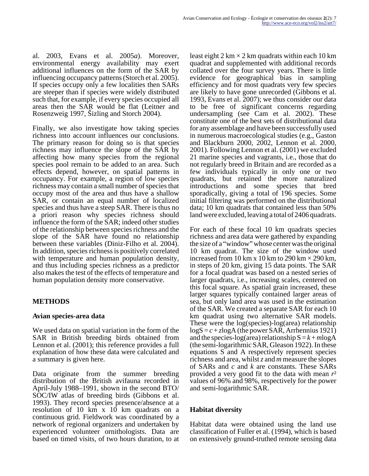al. 2003, Evans et al. 2005*a*). Moreover, environmental energy availability may exert additional influences on the form of the SAR by influencing occupancy patterns (Storch et al. 2005). If species occupy only a few localities then SARs are steeper than if species were widely distributed such that, for example, if every species occupied all areas then the SAR would be flat (Leitner and Rosenzweig 1997, Šizling and Storch 2004).

Finally, we also investigate how taking species richness into account influences our conclusions. The primary reason for doing so is that species richness may influence the slope of the SAR by affecting how many species from the regional species pool remain to be added to an area. Such effects depend, however, on spatial patterns in occupancy. For example, a region of low species richness may contain a small number of species that occupy most of the area and thus have a shallow SAR, or contain an equal number of localized species and thus have a steep SAR. There is thus no a priori reason why species richness should influence the form of the SAR; indeed other studies of the relationship between species richness and the slope of the SAR have found no relationship between these variables (Diniz-Filho et al. 2004). In addition, species richness is positively correlated with temperature and human population density, and thus including species richness as a predictor also makes the test of the effects of temperature and human population density more conservative.

#### **METHODS**

#### **Avian species-area data**

We used data on spatial variation in the form of the SAR in British breeding birds obtained from Lennon et al. (2001); this reference provides a full explanation of how these data were calculated and a summary is given here.

Data originate from the summer breeding distribution of the British avifauna recorded in April-July 1988–1991, shown in the second BTO/ SOC/IW atlas of breeding birds (Gibbons et al. 1993). They record species presence/absence at a resolution of 10 km x 10 km quadrats on a continuous grid. Fieldwork was coordinated by a network of regional organizers and undertaken by experienced volunteer ornithologists. Data are based on timed visits, of two hours duration, to at

least eight 2 km  $\times$  2 km quadrats within each 10 km quadrat and supplemented with additional records collated over the four survey years. There is little evidence for geographical bias in sampling efficiency and for most quadrats very few species are likely to have gone unrecorded (Gibbons et al. 1993, Evans et al. 2007); we thus consider our data to be free of significant concerns regarding undersampling (see Cam et al. 2002). These constitute one of the best sets of distributional data for any assemblage and have been successfully used in numerous macroecological studies (e.g., Gaston and Blackburn 2000, 2002, Lennon et al. 2000, 2001). Following Lennon et al. (2001) we excluded 21 marine species and vagrants, i.e., those that do not regularly breed in Britain and are recorded as a few individuals typically in only one or two quadrats, but retained the more naturalized introductions and some species that bred sporadically, giving a total of 196 species. Some initial filtering was performed on the distributional data; 10 km quadrats that contained less than 50% land were excluded, leaving a total of 2406 quadrats.

For each of these focal 10 km quadrats species richness and area data were gathered by expanding the size of a "window" whose center was the original 10 km quadrat. The size of the window used increased from 10 km x 10 km to 290 km  $\times$  290 km, in steps of 20 km, giving 15 data points. The SAR for a focal quadrat was based on a nested series of larger quadrats, i.e., increasing scales, centered on this focal square. As spatial grain increased, these larger squares typically contained larger areas of sea, but only land area was used in the estimation of the SAR. We created a separate SAR for each 10 km quadrat using two alternative SAR models. These were the log(species)-log(area) relationship  $\log S = c + z \log A$  (the power SAR, Arrhennius 1921) and the species-log(area) relationship  $S = k + m \log A$ (the semi-logarithmic SAR, Gleason 1922). In these equations S and A respectively represent species richness and area, whilst *z* and *m* measure the slopes of SARs and *c* and *k* are constants. These SARs provided a very good fit to the data with mean  $r^2$ values of 96% and 98%, respectively for the power and semi-logarithmic SAR.

# **Habitat diversity**

Habitat data were obtained using the land use classification of Fuller et al. (1994), which is based on extensively ground-truthed remote sensing data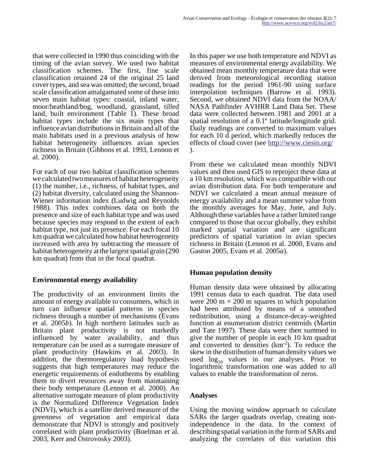that were collected in 1990 thus coinciding with the timing of the avian survey. We used two habitat classification schemes. The first, fine scale classification retained 24 of the original 25 land cover types, and sea was omitted; the second, broad scale classification amalgamated some of these into seven main habitat types: coastal, inland water, moor/heathland/bog, woodland, grassland, tilled land, built environment (Table 1). These broad habitat types include the six main types that influence avian distributions in Britain and all of the main habitats used in a previous analysis of how habitat heterogeneity influences avian species richness in Britain (Gibbons et al. 1993, Lennon et al. 2000).

For each of our two habitat classification schemes we calculated two measures of habitat heterogeneity (1) the number, i.e., richness, of habitat types, and (2) habitat diversity, calculated using the Shannon-Wiener information index (Ludwig and Reynolds 1988). This index combines data on both the presence and size of each habitat type and was used because species may respond to the extent of each habitat type, not just its presence. For each focal 10 km quadrat we calculated how habitat heterogeneity increased with area by subtracting the measure of habitat heterogeneity at the largest spatial grain (290 km quadrat) from that in the focal quadrat.

# **Environmental energy availability**

The productivity of an environment limits the amount of energy available to consumers, which in turn can influence spatial patterns in species richness through a number of mechanisms (Evans et al. 2005*b*). In high northern latitudes such as Britain plant productivity is not markedly influenced by water availability, and thus temperature can be used as a surrogate measure of plant productivity (Hawkins et al. 2003). In addition, the thermoregulatory load hypothesis suggests that high temperatures may reduce the energetic requirements of endotherms by enabling them to divert resources away from maintaining their body temperature (Lennon et al. 2000). An alternative surrogate measure of plant productivity is the Normalized Difference Vegetation Index (NDVI), which is a satellite derived measure of the greenness of vegetation and empirical data demonstrate that NDVI is strongly and positively correlated with plant productivity (Boelman et al. 2003, Kerr and Ostrovosky 2003).

In this paper we use both temperature and NDVI as measures of environmental energy availability. We obtained mean monthly temperature data that were derived from meteorological recording station readings for the period 1961-90 using surface interpolation techniques (Barrow et al. 1993). Second, we obtained NDVI data from the NOAA/ NASA Pathfinder AVHRR Land Data Set. These data were collected between 1981 and 2001 at a spatial resolution of a 0.1º latitude/longitude grid. Daily readings are converted to maximum values for each 10 d period, which markedly reduces the effects of cloud cover (see <http://www.ciesin.org/> ).

From these we calculated mean monthly NDVI values and then used GIS to reproject these data at a 10 km resolution, which was compatible with our avian distribution data. For both temperature and NDVI we calculated a mean annual measure of energy availability and a mean summer value from the monthly averages for May, June, and July. Although these variables have a rather limited range compared to those that occur globally, they exhibit marked spatial variation and are significant predictors of spatial variation in avian species richness in Britain (Lennon et al. 2000, Evans and Gaston 2005, Evans et al. 2005*a*).

# **Human population density**

Human density data were obtained by allocating 1991 census data to each quadrat. The data used were 200 m  $\times$  200 m squares to which population had been attributed by means of a smoothed redistribution, using a distance-decay-weighted function at enumeration district centroids (Martin and Tate 1997). These data were then summed to give the number of people in each 10 km quadrat and converted to densities  $(km<sup>-2</sup>)$ . To reduce the skew in the distribution of human density values we used  $log_{10}$  values in our analyses. Prior to logarithmic transformation one was added to all values to enable the transformation of zeros.

# **Analyses**

Using the moving window approach to calculate SARs the larger quadrats overlap, creating nonindependence in the data. In the context of describing spatial variation in the form of SARs and analyzing the correlates of this variation this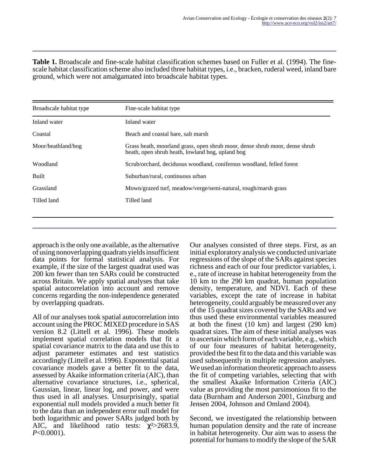**Table 1.** Broadscale and fine-scale habitat classification schemes based on Fuller et al. (1994). The finescale habitat classification scheme also included three habitat types, i.e., bracken, ruderal weed, inland bare ground, which were not amalgamated into broadscale habitat types.

| Broadscale habitat type | Fine-scale habitat type                                                                                                         |
|-------------------------|---------------------------------------------------------------------------------------------------------------------------------|
| Inland water            | Inland water                                                                                                                    |
| Coastal                 | Beach and coastal bare, salt marsh                                                                                              |
| Moor/heathland/bog      | Grass heath, moorland grass, open shrub moor, dense shrub moor, dense shrub<br>heath, open shrub heath, lowland bog, upland bog |
| Woodland                | Scrub/orchard, deciduous woodland, coniferous woodland, felled forest                                                           |
| Built                   | Suburban/rural, continuous urban                                                                                                |
| Grassland               | Mown/grazed turf, meadow/verge/semi-natural, rough/marsh grass                                                                  |
| Tilled land             | Tilled land                                                                                                                     |
|                         |                                                                                                                                 |

approach is the only one available, as the alternative of using nonoverlapping quadrats yields insufficient data points for formal statistical analysis. For example, if the size of the largest quadrat used was 200 km fewer than ten SARs could be constructed across Britain. We apply spatial analyses that take spatial autocorrelation into account and remove concerns regarding the non-independence generated by overlapping quadrats.

All of our analyses took spatial autocorrelation into account using the PROC MIXED procedure in SAS version 8.2 (Littell et al. 1996). These models implement spatial correlation models that fit a spatial covariance matrix to the data and use this to adjust parameter estimates and test statistics accordingly (Littell et al. 1996). Exponential spatial covariance models gave a better fit to the data, assessed by Akaike information criteria (AIC), than alternative covariance structures, i.e., spherical, Gaussian, linear, linear log, and power, and were thus used in all analyses. Unsurprisingly, spatial exponential null models provided a much better fit to the data than an independent error null model for both logarithmic and power SARs judged both by AIC, and likelihood ratio tests:  $\chi^2 > 2683.9$ , *P*<0.0001).

Our analyses consisted of three steps. First, as an initial exploratory analysis we conducted univariate regressions of the slope of the SARs against species richness and each of our four predictor variables, i. e., rate of increase in habitat heterogeneity from the 10 km to the 290 km quadrat, human population density, temperature, and NDVI. Each of these variables, except the rate of increase in habitat heterogeneity, could arguably be measured over any of the 15 quadrat sizes covered by the SARs and we thus used these environmental variables measured at both the finest (10 km) and largest (290 km) quadrat sizes. The aim of these initial analyses was to ascertain which form of each variable, e.g., which of our four measures of habitat heterogeneity, provided the best fit to the data and this variable was used subsequently in multiple regression analyses. We used an information theoretic approach to assess the fit of competing variables, selecting that with the smallest Akaike Information Criteria (AIC) value as providing the most parsimonious fit to the data (Burnham and Anderson 2001, Ginzburg and Jensen 2004, Johnson and Omland 2004).

Second, we investigated the relationship between human population density and the rate of increase in habitat heterogeneity. Our aim was to assess the potential for humans to modify the slope of the SAR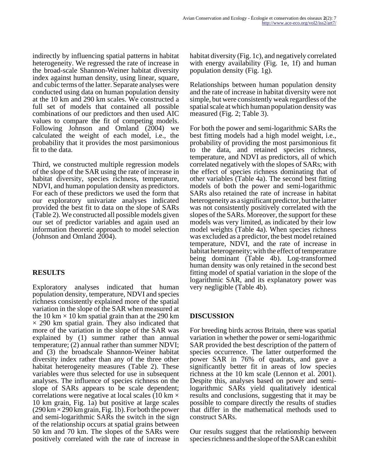indirectly by influencing spatial patterns in habitat heterogeneity. We regressed the rate of increase in the broad-scale Shannon-Weiner habitat diversity index against human density, using linear, square, and cubic terms of the latter. Separate analyses were conducted using data on human population density at the 10 km and 290 km scales. We constructed a full set of models that contained all possible combinations of our predictors and then used AIC values to compare the fit of competing models. Following Johnson and Omland (2004) we calculated the weight of each model, i.e., the probability that it provides the most parsimonious fit to the data.

Third, we constructed multiple regression models of the slope of the SAR using the rate of increase in habitat diversity, species richness, temperature, NDVI, and human population density as predictors. For each of these predictors we used the form that our exploratory univariate analyses indicated provided the best fit to data on the slope of SARs (Table 2). We constructed all possible models given our set of predictor variables and again used an information theoretic approach to model selection (Johnson and Omland 2004).

# **RESULTS**

Exploratory analyses indicated that human population density, temperature, NDVI and species richness consistently explained more of the spatial variation in the slope of the SAR when measured at the 10 km  $\times$  10 km spatial grain than at the 290 km  $\times$  290 km spatial grain. They also indicated that more of the variation in the slope of the SAR was explained by (1) summer rather than annual temperature; (2) annual rather than summer NDVI; and (3) the broadscale Shannon-Weiner habitat diversity index rather than any of the three other habitat heterogeneity measures (Table 2). These variables were thus selected for use in subsequent analyses. The influence of species richness on the slope of SARs appears to be scale dependent; correlations were negative at local scales (10 km  $\times$ 10 km grain, Fig. 1a) but positive at large scales  $(290 \text{ km} \times 290 \text{ km} \text{ grain}, \text{Fig. 1b}).$  For both the power and semi-logarithmic SARs the switch in the sign of the relationship occurs at spatial grains between 50 km and 70 km. The slopes of the SARs were positively correlated with the rate of increase in

habitat diversity (Fig. 1c), and negatively correlated with energy availability (Fig. 1e, 1f) and human population density (Fig. 1g).

Relationships between human population density and the rate of increase in habitat diversity were not simple, but were consistently weak regardless of the spatial scale at which human population density was measured (Fig. 2; Table 3).

For both the power and semi-logarithmic SARs the best fitting models had a high model weight, i.e., probability of providing the most parsimonious fit to the data, and retained species richness, temperature, and NDVI as predictors, all of which correlated negatively with the slopes of SARs; with the effect of species richness dominating that of other variables (Table 4a). The second best fitting models of both the power and semi-logarithmic SARs also retained the rate of increase in habitat heterogeneity as a significant predictor, but the latter was not consistently positively correlated with the slopes of the SARs. Moreover, the support for these models was very limited, as indicated by their low model weights (Table 4a). When species richness was excluded as a predictor, the best model retained temperature, NDVI, and the rate of increase in habitat heterogeneity; with the effect of temperature being dominant (Table 4b). Log-transformed human density was only retained in the second best fitting model of spatial variation in the slope of the logarithmic SAR, and its explanatory power was very negligible (Table 4b).

# **DISCUSSION**

For breeding birds across Britain, there was spatial variation in whether the power or semi-logarithmic SAR provided the best description of the pattern of species occurrence. The latter outperformed the power SAR in 76% of quadrats, and gave a significantly better fit in areas of low species richness at the 10 km scale (Lennon et al. 2001). Despite this, analyses based on power and semilogarithmic SARs yield qualitatively identical results and conclusions, suggesting that it may be possible to compare directly the results of studies that differ in the mathematical methods used to construct SARs.

Our results suggest that the relationship between species richness and the slope of the SAR can exhibit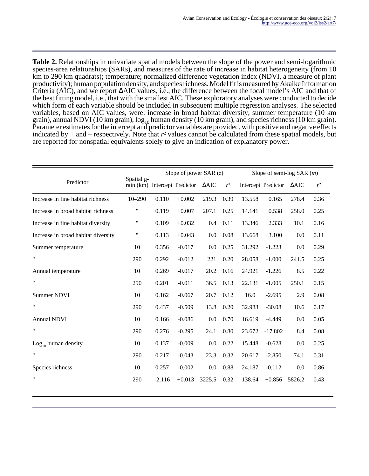**Table 2.** Relationships in univariate spatial models between the slope of the power and semi-logarithmic species-area relationships (SARs), and measures of the rate of increase in habitat heterogeneity (from 10 km to 290 km quadrats); temperature; normalized difference vegetation index (NDVI, a measure of plant productivity); human population density, and species richness. Model fit is measured by Akaike Information Criteria (AIC), and we report ∆AIC values, i.e., the difference between the focal model's AIC and that of the best fitting model, i.e., that with the smallest AIC. These exploratory analyses were conducted to decide which form of each variable should be included in subsequent multiple regression analyses. The selected variables, based on AIC values, were: increase in broad habitat diversity, summer temperature (10 km grain), annual NDVI (10 km grain),  $\log_{10}$  human density (10 km grain), and species richness (10 km grain). Parameter estimates for the intercept and predictor variables are provided, with positive and negative effects indicated by  $+$  and  $-$  respectively. Note that  $r^2$  values cannot be calculated from these spatial models, but are reported for nonspatial equivalents solely to give an indication of explanatory power.

|                                     |                                             | Slope of power SAR $(z)$ |          |                 |       | Slope of semi-log SAR $(m)$ |                     |                 |       |
|-------------------------------------|---------------------------------------------|--------------------------|----------|-----------------|-------|-----------------------------|---------------------|-----------------|-------|
| Predictor                           | Spatial g-<br>rain (km) Intercept Predictor |                          |          | $\triangle AIC$ | $r^2$ |                             | Intercept Predictor | $\triangle AIC$ | $r^2$ |
| Increase in fine habitat richness   | $10 - 290$                                  | 0.110                    | $+0.002$ | 219.3           | 0.39  | 13.558                      | $+0.165$            | 278.4           | 0.36  |
| Increase in broad habitat richness  | $\pmb{\mathsf{H}}$                          | 0.119                    | $+0.007$ | 207.1           | 0.25  | 14.141                      | $+0.538$            | 258.0           | 0.25  |
| Increase in fine habitat diversity  | 11                                          | 0.109                    | $+0.032$ | 0.4             | 0.11  | 13.346                      | $+2.333$            | 10.1            | 0.16  |
| Increase in broad habitat diversity | $\pmb{\mathsf{H}}$                          | 0.113                    | $+0.043$ | 0.0             | 0.08  | 13.668                      | $+3.100$            | 0.0             | 0.11  |
| Summer temperature                  | 10                                          | 0.356                    | $-0.017$ | 0.0             | 0.25  | 31.292                      | $-1.223$            | 0.0             | 0.29  |
| 11                                  | 290                                         | 0.292                    | $-0.012$ | 221             | 0.20  | 28.058                      | $-1.000$            | 241.5           | 0.25  |
| Annual temperature                  | 10                                          | 0.269                    | $-0.017$ | 20.2            | 0.16  | 24.921                      | $-1.226$            | 8.5             | 0.22  |
| $\pmb{\mathsf{H}}$                  | 290                                         | 0.201                    | $-0.011$ | 36.5            | 0.13  | 22.131                      | $-1.005$            | 250.1           | 0.15  |
| <b>Summer NDVI</b>                  | 10                                          | 0.162                    | $-0.067$ | 20.7            | 0.12  | 16.0                        | $-2.695$            | 2.9             | 0.08  |
| $\pmb{\mathsf{H}}$                  | 290                                         | 0.437                    | $-0.509$ | 13.8            | 0.20  | 32.983                      | $-30.08$            | 10.6            | 0.17  |
| <b>Annual NDVI</b>                  | 10                                          | 0.166                    | $-0.086$ | 0.0             | 0.70  | 16.619                      | $-4.449$            | 0.0             | 0.05  |
| $\pmb{\mathsf{H}}$                  | 290                                         | 0.276                    | $-0.295$ | 24.1            | 0.80  | 23.672                      | $-17.802$           | 8.4             | 0.08  |
| $Log10$ human density               | 10                                          | 0.137                    | $-0.009$ | 0.0             | 0.22  | 15.448                      | $-0.628$            | 0.0             | 0.25  |
| $\pmb{\mathsf{H}}$                  | 290                                         | 0.217                    | $-0.043$ | 23.3            | 0.32  | 20.617                      | $-2.850$            | 74.1            | 0.31  |
| Species richness                    | 10                                          | 0.257                    | $-0.002$ | 0.0             | 0.88  | 24.187                      | $-0.112$            | 0.0             | 0.86  |
| $\pmb{\mathsf{H}}$                  | 290                                         | $-2.116$                 | $+0.013$ | 3225.5          | 0.32  | 138.64                      | $+0.856$            | 5826.2          | 0.43  |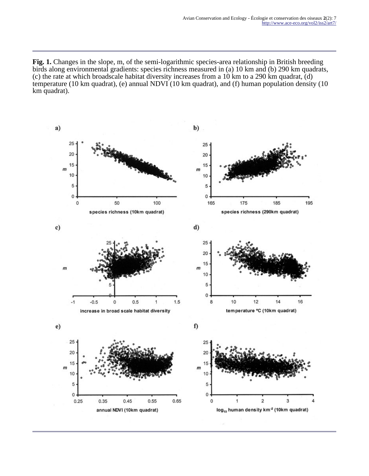**Fig. 1.** Changes in the slope, m, of the semi-logarithmic species-area relationship in British breeding birds along environmental gradients: species richness measured in (a) 10 km and (b) 290 km quadrats, (c) the rate at which broadscale habitat diversity increases from a 10 km to a 290 km quadrat, (d) temperature (10 km quadrat), (e) annual NDVI (10 km quadrat), and (f) human population density (10 km quadrat).

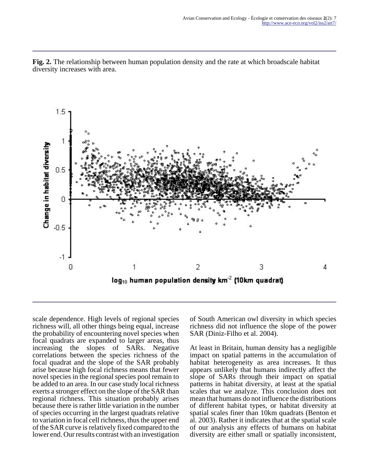



scale dependence. High levels of regional species richness will, all other things being equal, increase the probability of encountering novel species when focal quadrats are expanded to larger areas, thus increasing the slopes of SARs. Negative correlations between the species richness of the focal quadrat and the slope of the SAR probably arise because high focal richness means that fewer novel species in the regional species pool remain to be added to an area. In our case study local richness exerts a stronger effect on the slope of the SAR than regional richness. This situation probably arises because there is rather little variation in the number of species occurring in the largest quadrats relative to variation in focal cell richness, thus the upper end of the SAR curve is relatively fixed compared to the lower end. Our results contrast with an investigation

of South American owl diversity in which species richness did not influence the slope of the power SAR (Diniz-Filho et al. 2004).

At least in Britain, human density has a negligible impact on spatial patterns in the accumulation of habitat heterogeneity as area increases. It thus appears unlikely that humans indirectly affect the slope of SARs through their impact on spatial patterns in habitat diversity, at least at the spatial scales that we analyze. This conclusion does not mean that humans do not influence the distributions of different habitat types, or habitat diversity at spatial scales finer than 10km quadrats (Benton et al. 2003). Rather it indicates that at the spatial scale of our analysis any effects of humans on habitat diversity are either small or spatially inconsistent,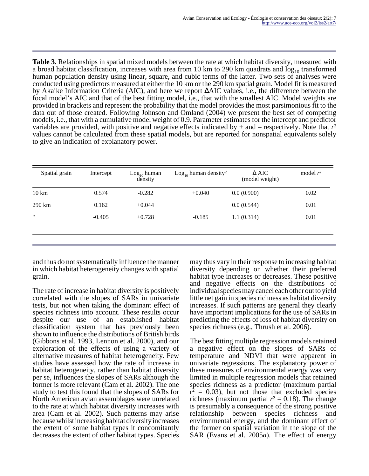**Table 3.** Relationships in spatial mixed models between the rate at which habitat diversity, measured with a broad habitat classification, increases with area from 10 km to 290 km quadrats and  $log_{10}$  transformed human population density using linear, square, and cubic terms of the latter. Two sets of analyses were conducted using predictors measured at either the 10 km or the 290 km spatial grain. Model fit is measured by Akaike Information Criteria (AIC), and here we report ∆AIC values, i.e., the difference between the focal model's AIC and that of the best fitting model, i.e., that with the smallest AIC. Model weights are provided in brackets and represent the probability that the model provides the most parsimonious fit to the data out of those created. Following Johnson and Omland (2004) we present the best set of competing models, i.e., that with a cumulative model weight of 0.9. Parameter estimates for the intercept and predictor variables are provided, with positive and negative effects indicated by  $+$  and  $-$  respectively. Note that  $r<sup>2</sup>$ values cannot be calculated from these spatial models, but are reported for nonspatial equivalents solely to give an indication of explanatory power.

|                   | Intercept | $Log_{10}$ human<br>density | $Log_{10}$ human density <sup>2</sup> | $\Delta$ AIC<br>(model weight) | model $r^2$ |
|-------------------|-----------|-----------------------------|---------------------------------------|--------------------------------|-------------|
| $10 \text{ km}$   | 0.574     | $-0.282$                    | $+0.040$                              | 0.0(0.900)                     | 0.02        |
| $290 \mathrm{km}$ | 0.162     | $+0.044$                    |                                       | 0.0(0.544)                     | 0.01        |
| $^{\prime\prime}$ | $-0.405$  | $+0.728$                    | $-0.185$                              | 1.1(0.314)                     | 0.01        |

and thus do not systematically influence the manner in which habitat heterogeneity changes with spatial grain.

The rate of increase in habitat diversity is positively correlated with the slopes of SARs in univariate tests, but not when taking the dominant effect of species richness into account. These results occur despite our use of an established habitat classification system that has previously been shown to influence the distributions of British birds (Gibbons et al. 1993, Lennon et al. 2000), and our exploration of the effects of using a variety of alternative measures of habitat heterogeneity. Few studies have assessed how the rate of increase in habitat heterogeneity, rather than habitat diversity per se, influences the slopes of SARs although the former is more relevant (Cam et al. 2002). The one study to test this found that the slopes of SARs for North American avian assemblages were unrelated to the rate at which habitat diversity increases with area (Cam et al. 2002). Such patterns may arise because whilst increasing habitat diversity increases the extent of some habitat types it concomitantly decreases the extent of other habitat types. Species

may thus vary in their response to increasing habitat diversity depending on whether their preferred habitat type increases or decreases. These positive and negative effects on the distributions of individual species may cancel each other out to yield little net gain in species richness as habitat diversity increases. If such patterns are general they clearly have important implications for the use of SARs in predicting the effects of loss of habitat diversity on species richness (e.g., Thrush et al. 2006).

The best fitting multiple regression models retained a negative effect on the slopes of SARs of temperature and NDVI that were apparent in univariate regressions. The explanatory power of these measures of environmental energy was very limited in multiple regression models that retained species richness as a predictor (maximum partial  $r^2 = 0.03$ ), but not those that excluded species richness (maximum partial  $r^2 = 0.18$ ). The change is presumably a consequence of the strong positive relationship between species richness and environmental energy, and the dominant effect of the former on spatial variation in the slope of the SAR (Evans et al. 2005*a*). The effect of energy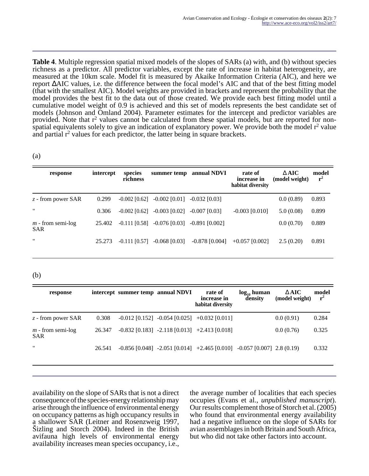**Table 4**. Multiple regression spatial mixed models of the slopes of SARs (a) with, and (b) without species richness as a predictor. All predictor variables, except the rate of increase in habitat heterogeneity, are measured at the 10km scale. Model fit is measured by Akaike Information Criteria (AIC), and here we report ∆AIC values, i.e. the difference between the focal model's AIC and that of the best fitting model (that with the smallest AIC). Model weights are provided in brackets and represent the probability that the model provides the best fit to the data out of those created. We provide each best fitting model until a cumulative model weight of 0.9 is achieved and this set of models represents the best candidate set of models (Johnson and Omland 2004). Parameter estimates for the intercept and predictor variables are provided. Note that  $r^2$  values cannot be calculated from these spatial models, but are reported for nonspatial equivalents solely to give an indication of explanatory power. We provide both the model  $r^2$  value and partial  $r^2$  values for each predictor, the latter being in square brackets.

#### (a)

| response                          | intercept | species<br>richness | summer temp     | annual NDVI                      | rate of<br>increase in<br>habitat diversity | $\Delta$ AIC<br>(model weight) | model<br>${\bf r}^2$ |
|-----------------------------------|-----------|---------------------|-----------------|----------------------------------|---------------------------------------------|--------------------------------|----------------------|
| $z$ - from power SAR              | 0.299     | $-0.002$ [0.62]     | $-0.002$ [0.01] | $-0.032$ [0.03]                  |                                             | 0.0(0.89)                      | 0.893                |
| $^{\prime\prime}$                 | 0.306     | $-0.002$ [0.62]     | $-0.003$ [0.02] | $-0.007$ [0.03]                  | $-0.003$ [0.010]                            | 5.0(0.08)                      | 0.899                |
| $m$ - from semi-log<br><b>SAR</b> | 25.402    | $-0.111$ [0.58]     |                 | $-0.076$ [0.03] $-0.891$ [0.002] |                                             | 0.0(0.70)                      | 0.889                |
| $^{\prime\prime}$                 | 25.273    | $-0.111$ $[0.57]$   | $-0.068$ [0.03] | $-0.878$ [0.004]                 | $+0.057$ [0.002]                            | 2.5(0.20)                      | 0.891                |

(b)

| response                          |        | intercept summer temp annual NDVI | rate of<br>increase in<br>habitat diversity                                    | $log_{10}$ human<br>density | $\triangle$ AIC<br>(model weight) | model<br>${\bf r}^2$ |
|-----------------------------------|--------|-----------------------------------|--------------------------------------------------------------------------------|-----------------------------|-----------------------------------|----------------------|
| $z$ - from power SAR              | 0.308  |                                   | $-0.012$ [0.152] $-0.054$ [0.025] $+0.032$ [0.011]                             |                             | 0.0(0.91)                         | 0.284                |
| $m$ - from semi-log<br><b>SAR</b> | 26.347 |                                   | $-0.832$ [0.183] $-2.118$ [0.013] $+2.413$ [0.018]                             |                             | 0.0(0.76)                         | 0.325                |
| $^{\prime\prime}$                 | 26.541 |                                   | $-0.856$ [0.048] $-2.051$ [0.014] $+2.465$ [0.010] $-0.057$ [0.007] 2.8 (0.19) |                             |                                   | 0.332                |

availability on the slope of SARs that is not a direct consequence of the species-energy relationship may arise through the influence of environmental energy on occupancy patterns as high occupancy results in a shallower SAR (Leitner and Rosenzweig 1997, Šizling and Storch 2004). Indeed in the British avifauna high levels of environmental energy availability increases mean species occupancy, i.e.,

the average number of localities that each species occupies (Evans et al., *unpublished manuscript*). Our results complement those of Storch et al. (2005) who found that environmental energy availability had a negative influence on the slope of SARs for avian assemblages in both Britain and South Africa, but who did not take other factors into account.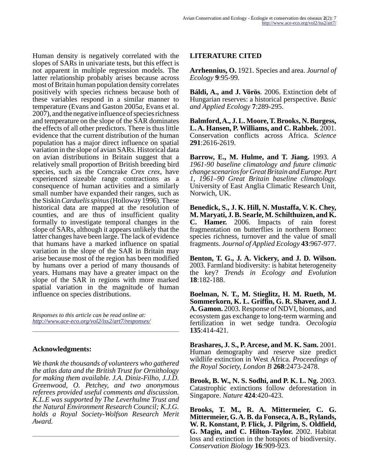Human density is negatively correlated with the slopes of SARs in univariate tests, but this effect is not apparent in multiple regression models. The latter relationship probably arises because across most of Britain human population density correlates positively with species richness because both of these variables respond in a similar manner to temperature (Evans and Gaston 2005*a*, Evans et al. 2007), and the negative influence of species richness and temperature on the slope of the SAR dominates the effects of all other predictors. There is thus little evidence that the current distribution of the human population has a major direct influence on spatial variation in the slope of avian SARs. Historical data on avian distributions in Britain suggest that a relatively small proportion of British breeding bird species, such as the Corncrake *Crex crex*, have experienced sizeable range contractions as a consequence of human activities and a similarly small number have expanded their ranges, such as the Siskin *Carduelis spinus* (Holloway 1996). These historical data are mapped at the resolution of counties, and are thus of insufficient quality formally to investigate temporal changes in the slope of SARs, although it appears unlikely that the latter changes have been large. The lack of evidence that humans have a marked influence on spatial variation in the slope of the SAR in Britain may arise because most of the region has been modified by humans over a period of many thousands of years. Humans may have a greater impact on the slope of the SAR in regions with more marked spatial variation in the magnitude of human influence on species distributions.

*Responses to this article can be read online at: <http://www.ace-eco.org/vol2/iss2/art7/responses/>*

#### **Acknowledgments:**

*We thank the thousands of volunteers who gathered the atlas data and the British Trust for Ornithology for making them available. J.A. Diniz-Filho, J.J.D. Greenwood, O. Petchey, and two anonymous referees provided useful comments and discussion. K.L.E was supported by The Leverhulme Trust and the Natural Environment Research Council; K.J.G. holds a Royal Society-Wolfson Research Merit Award.*

#### **LITERATURE CITED**

**Arrhennius, O.** 1921. Species and area. *Journal of Ecology* **9**:95-99.

**Báldi, A., and J. Vörös**. 2006. Extinction debt of Hungarian reserves: a historical perspective. *Basic and Applied Ecology* **7**:289-295.

**Balmford, A., J. L. Moore, T. Brooks, N. Burgess, L. A. Hansen, P. Williams, and C. Rahbek.** 2001. Conservation conflicts across Africa. *Science* **291**:2616-2619.

**Barrow, E., M. Hulme, and T. Jiang.** 1993. *A 1961-90 baseline climatology and future climatic change scenarios for Great Britain and Europe. Part 1, 1961–90 Great Britain baseline climatology.* University of East Anglia Climatic Research Unit, Norwich, UK.

**Benedick, S., J. K. Hill, N. Mustaffa, V. K. Chey, M. Maryati, J. B. Searle, M. Schilthuizen, and K. C. Hamer.** 2006. Impacts of rain forest fragmentation on butterflies in northern Borneo: species richness, turnover and the value of small fragments. *Journal of Applied Ecology* **43**:967-977.

**Benton, T. G., J. A. Vickery, and J. D. Wilson.** 2003. Farmland biodiversity: is habitat heterogeneity the key? *Trends in Ecology and Evolution* **18**:182-188.

**Boelman, N. T., M. Stieglitz, H. M. Rueth, M. Sommerkorn, K. L. Griffin, G. R. Shaver, and J. A. Gamon.** 2003. Response of NDVI, biomass, and ecosystem gas exchange to long-term warming and fertilization in wet sedge tundra. *Oecologia* **135**:414-421.

**Brashares, J. S., P. Arcese, and M. K. Sam.** 2001. Human demography and reserve size predict wildlife extinction in West Africa. *Proceedings of the Royal Society, London B* **268**:2473-2478.

**Brook, B. W., N. S. Sodhi, and P. K. L. Ng.** 2003. Catastrophic extinctions follow deforestation in Singapore. *Nature* **424**:420-423.

**Brooks, T. M., R. A. Mittermeier, C. G. Mittermeier, G. A. B. da Fonseca, A. B., Rylands, W. R. Konstant, P. Flick, J. Pilgrim, S. Oldfield, G. Magin, and C. Hilton-Taylor.** 2002. Habitat loss and extinction in the hotspots of biodiversity. *Conservation Biology* **16**:909-923.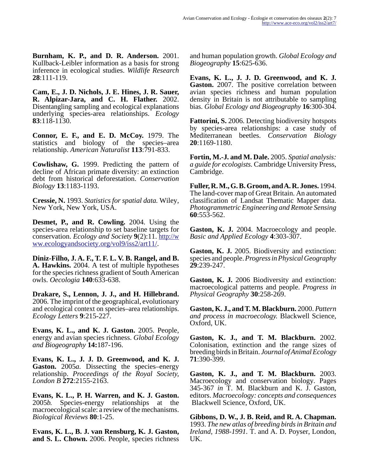**Burnham, K. P., and D. R. Anderson.** 2001. Kullback-Leibler information as a basis for strong inference in ecological studies. *Wildlife Research* **28**:111-119.

**Cam, E., J. D. Nichols, J. E. Hines, J. R. Sauer, R. Alpizar-Jara, and C. H. Flather.** 2002. Disentangling sampling and ecological explanations underlying species-area relationships. *Ecology* **83**:118-1130.

**Connor, E. F., and E. D. McCoy.** 1979. The statistics and biology of the species–area relationship. *American Naturalist* **113**:791-833.

**Cowlishaw, G.** 1999. Predicting the pattern of decline of African primate diversity: an extinction debt from historical deforestation. *Conservation Biology* **13**:1183-1193.

**Cressie, N.** 1993. *Statistics for spatial data.* Wiley, New York, New York, USA.

**Desmet, P., and R. Cowling.** 2004. Using the species-area relationship to set baseline targets for conservation. *Ecology and Society* **9**(2):11. [http://w](http://www.ecologyandsociety.org/vol9/iss2/art11/) [ww.ecologyandsociety.org/vol9/iss2/art11/.](http://www.ecologyandsociety.org/vol9/iss2/art11/)

**Diniz-Filho, J. A. F., T. F. L. V. B. Rangel, and B. A. Hawkins.** 2004. A test of multiple hypotheses for the species richness gradient of South American owls. *Oecologia* **140**:633-638.

**Drakare, S., Lennon, J. J., and H. Hillebrand.** 2006. The imprint of the geographical, evolutionary and ecological context on species–area relationships. *Ecology Letters* **9**:215-227.

**Evans, K. L., and K. J. Gaston.** 2005. People, energy and avian species richness. *Global Ecology and Biogeography* **14:**187-196.

**Evans, K. L., J. J. D. Greenwood, and K. J. Gaston.** 2005*a.* Dissecting the species–energy relationship. *Proceedings of the Royal Society, London B* **272**:2155-2163.

**Evans, K. L., P. H. Warren, and K. J. Gaston.** 2005*b.* Species-energy relationships at the macroecological scale: a review of the mechanisms. *Biological Reviews* **80**:1-25.

**Evans, K. L., B. J. van Rensburg, K. J. Gaston, and S. L. Chown.** 2006. People, species richness and human population growth. *Global Ecology and Biogeography* **15**:625-636.

**Evans, K. L., J. J. D. Greenwood, and K. J. Gaston.** 2007. The positive correlation between avian species richness and human population density in Britain is not attributable to sampling bias. *Global Ecology and Biogeography* **16**:300-304.

**Fattorini, S.** 2006. Detecting biodiversity hotspots by species-area relationships: a case study of Mediterranean beetles. *Conservation Biology* **20**:1169-1180.

**Fortin, M.-J. and M. Dale.** 2005. *Spatial analysis: a guide for ecologists.* Cambridge University Press, Cambridge.

**Fuller, R. M., G. B. Groom, and A. R. Jones.** 1994. The land-cover map of Great Britain. An automated classification of Landsat Thematic Mapper data. *Photogrammetric Engineering and Remote Sensing* **60**:553-562.

**Gaston, K. J.** 2004. Macroecology and people. *Basic and Applied Ecology* **4**:303-307.

**Gaston, K. J.** 2005. Biodiversity and extinction: species and people. *Progress in Physical Geography* **29**:239-247.

**Gaston, K. J.** 2006 Biodiversity and extinction: macroecological patterns and people. *Progress in Physical Geography* **30**:258-269.

**Gaston, K. J., and T. M. Blackburn.** 2000. *Pattern and process in macroecology.* Blackwell Science, Oxford, UK.

**Gaston, K. J., and T. M. Blackburn.** 2002. Colonisation, extinction and the range sizes of breeding birds in Britain. *Journal of Animal Ecology* **71**:390-399.

**Gaston, K. J., and T. M. Blackburn.** 2003. Macroecology and conservation biology. Pages 345-367 *in* T. M. Blackburn and K. J. Gaston, editors. *Macroecology: concepts and consequences* Blackwell Science, Oxford, UK.

**Gibbons, D. W., J. B. Reid, and R. A. Chapman.** 1993. *The new atlas of breeding birds in Britain and Ireland, 1988-1991.* T. and A. D. Poyser, London, UK.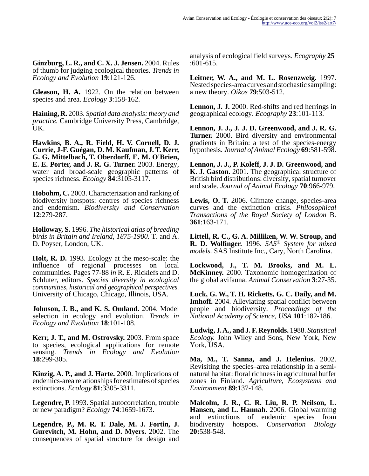**Ginzburg, L. R., and C. X. J. Jensen.** 2004. Rules of thumb for judging ecological theories. *Trends in Ecology and Evolution* **19**:121-126.

**Gleason, H. A.** 1922. On the relation between species and area. *Ecology* **3**:158-162.

**Haining, R.** 2003. *Spatial data analysis: theory and practice.* Cambridge University Press, Cambridge, UK.

**Hawkins, B. A., R. Field, H. V. Cornell, D. J. Currie, J-F. Guégan, D. M. Kaufman, J. T. Kerr, G. G. Mittelbach, T. Oberdorff, E. M. O'Brien, E. E. Porter, and J. R. G. Turner.** 2003. Energy, water and broad-scale geographic patterns of species richness. *Ecology* **84**:3105-3117.

**Hobohm, C.** 2003. Characterization and ranking of biodiversity hotspots: centres of species richness and endemism. *Biodiversity and Conservation* **12**:279-287.

**Holloway, S.** 1996. *The historical atlas of breeding birds in Britain and Ireland, 1875-1900.* T. and A. D. Poyser, London, UK.

**Holt, R. D.** 1993. Ecology at the meso-scale: the influence of regional processes on local communities. Pages 77-88 *in* R. E. Ricklefs and D. Schluter, editors. *Species diversity in ecological communities, historical and geographical perspectives.* University of Chicago, Chicago, Illinois, USA.

**Johnson, J. B., and K. S. Omland.** 2004. Model selection in ecology and evolution. *Trends in Ecology and Evolution* **18**:101-108.

**Kerr, J. T., and M. Ostrovsky.** 2003. From space to species, ecological applications for remote sensing. *Trends in Ecology and Evolution* **18**:299-305.

**Kinzig, A. P., and J. Harte.** 2000. Implications of endemics-area relationships for estimates of species extinctions. *Ecology* **81**:3305-3311.

**Legendre, P.** 1993. Spatial autocorrelation, trouble or new paradigm? *Ecology* **74**:1659-1673.

**Legendre, P., M. R. T. Dale, M. J. Fortin, J. Gurevitch, M. Hohn, and D. Myers.** 2002. The consequences of spatial structure for design and analysis of ecological field surveys. *Ecography* **25** :601-615.

**Leitner, W. A., and M. L. Rosenzweig.** 1997. Nested species-area curves and stochastic sampling: a new theory. *Oikos* **79**:503-512.

**Lennon, J. J.** 2000. Red-shifts and red herrings in geographical ecology. *Ecography* **23**:101-113.

**Lennon, J. J., J. J. D. Greenwood, and J. R. G. Turner.** 2000. Bird diversity and environmental gradients in Britain: a test of the species-energy hypothesis. *Journal of Animal Ecology* **69**:581-598.

**Lennon, J. J., P. Koleff, J. J. D. Greenwood, and K. J. Gaston.** 2001. The geographical structure of British bird distributions: diversity, spatial turnover and scale. *Journal of Animal Ecology* **70**:966-979.

Lewis, O. T. 2006. Climate change, species-area curves and the extinction crisis. *Philosophical Transactions of the Royal Society of London* B. **361**:163-171.

**Littell, R. C., G. A. Milliken, W. W. Stroup, and R. D. Wolfinger.** 1996. *SAS® System for mixed models.* SAS Institute Inc., Cary, North Carolina.

**Lockwood, J., T. M. Brooks, and M. L. McKinney.** 2000. Taxonomic homogenization of the global avifauna. *Animal Conservation* **3**:27-35.

**Luck, G. W., T. H. Ricketts, G. C. Daily, and M. Imhoff.** 2004. Alleviating spatial conflict between people and biodiversity. *Proceedings of the National Academy of Science, USA* **101**:182-186.

**Ludwig, J. A., and J. F. Reynolds.** 1988. *Statistical Ecology.* John Wiley and Sons, New York, New York, USA.

**Ma, M., T. Sanna, and J. Helenius.** 2002. Revisiting the species–area relationship in a seminatural habitat: floral richness in agricultural buffer zones in Finland. *Agriculture, Ecosystems and Environment* **89**:137-148.

**Malcolm, J. R., C. R. Liu, R. P. Neilson, L. Hansen, and L. Hannah.** 2006. Global warming and extinctions of endemic species from biodiversity hotspots. *Conservation Biology* **20:**538-548.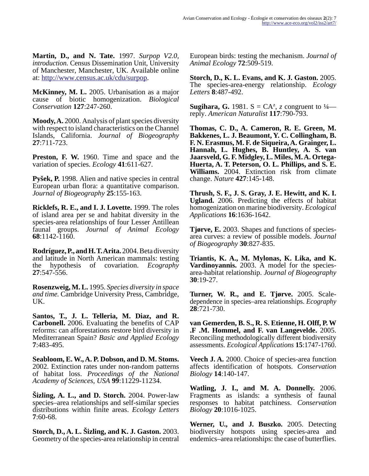**Martin, D., and N. Tate.** 1997. *Surpop V2.0, introduction.* Census Dissemination Unit, University of Manchester, Manchester, UK. Available online at: [http://www.census.ac.uk/cdu/surpop.](http://www.census.ac.uk/cdu/surpop)

**McKinney, M. L.** 2005. Urbanisation as a major cause of biotic homogenization. *Biological Conservation* **127**:247-260.

**Moody, A.** 2000. Analysis of plant species diversity with respect to island characteristics on the Channel Islands, California. *Journal of Biogeography* **27**:711-723.

**Preston, F. W.** 1960. Time and space and the variation of species. *Ecology* **41**:611-627.

**Pyšek, P.** 1998. Alien and native species in central European urban flora: a quantitative comparison. *Journal of Biogeography* **25**:155-163.

**Ricklefs, R. E., and I. J. Lovette.** 1999. The roles of island area per se and habitat diversity in the species-area relationships of four Lesser Antillean faunal groups. *Journal of Animal Ecology* **68**:1142-1160.

**Rodríguez, P., and H. T. Arita.** 2004. Beta diversity and latitude in North American mammals: testing the hypothesis of covariation. *Ecography* **27**:547-556.

**Rosenzweig, M. L.** 1995. *Species diversity in space and time.* Cambridge University Press, Cambridge, UK.

**Santos, T., J. L. Telleria, M. Diaz, and R. Carbonell.** 2006. Evaluating the benefits of CAP reforms: can afforestations restore bird diversity in Mediterranean Spain? *Basic and Applied Ecology* **7**:483-495.

**Seabloom, E. W., A. P. Dobson, and D. M. Stoms.** 2002. Extinction rates under non-random patterns of habitat loss. *Proceedings of the National Academy of Sciences, USA* **99**:11229-11234.

**Šizling, A. L., and D. Storch.** 2004. Power-law species–area relationships and self-similar species distributions within finite areas. *Ecology Letters* **7**:60-68.

**Storch, D., A. L. Šizling, and K. J. Gaston.** 2003. Geometry of the species-area relationship in central European birds: testing the mechanism. *Journal of Animal Ecology* **72**:509-519.

**Storch, D., K. L. Evans, and K. J. Gaston.** 2005. The species-area-energy relationship. *Ecology Letters* **8**:487-492.

**Sugihara, G.** 1981.  $S = CA^z$ , *z* congruent to  $\frac{1}{4}$  reply. *American Naturalist* **117**:790-793.

**Thomas, C. D., A. Cameron, R. E. Green, M. Bakkenes, L. J. Beaumont, Y. C. Collingham, B. F. N. Erasmus, M. F. de Siqueira, A. Grainger, L. Hannah, L. Hughes, B. Huntley, A. S. van Jaarsveld, G. F. Midgley, L. Miles, M. A. Ortega-Huerta, A. T. Peterson, O. L. Phillips, and S. E. Williams.** 2004. Extinction risk from climate change. *Nature* **427**:145-148.

**Thrush, S. F., J. S. Gray, J. E. Hewitt, and K. I. Ugland.** 2006. Predicting the effects of habitat homogenization on marine biodiversity. *Ecological Applications* **16**:1636-1642.

**Tjørve, E.** 2003. Shapes and functions of speciesarea curves: a review of possible models. *Journal of Biogeography* **30**:827-835.

**Triantis, K. A., M. Mylonas, K. Lika, and K. Vardinoyannis.** 2003. A model for the speciesarea-habitat relationship. *Journal of Biogeography* **30**:19-27.

**Turner, W. R., and E. Tjørve.** 2005. Scaledependence in species–area relationships. *Ecography* **28**:721-730.

**van Gemerden, B. S., R. S. Etienne, H. Olff, P. W .F .M. Hommel, and F. van Langevelde.** 2005. Reconciling methodologically different biodiversity assessments. *Ecological Applications* **15**:1747-1760.

**Veech J. A.** 2000. Choice of species-area function affects identification of hotspots. *Conservation Biology* **14**:140-147.

**Watling, J. I., and M. A. Donnelly.** 2006. Fragments as islands: a synthesis of faunal responses to habitat patchiness. *Conservation Biology* **20**:1016-1025.

**Werner, U., and J. Buszko.** 2005. Detecting biodiversity hotspots using species-area and endemics–area relationships: the case of butterflies.